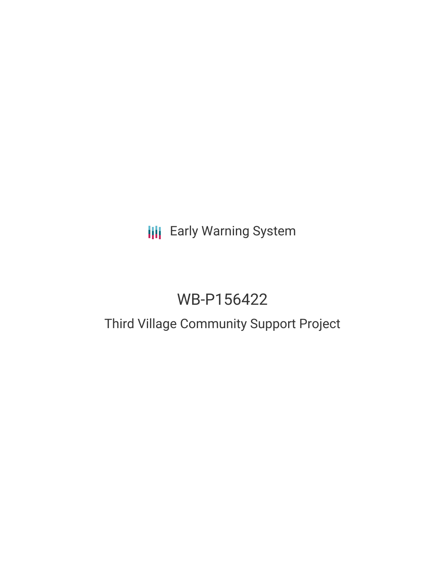## **III** Early Warning System

# WB-P156422

# Third Village Community Support Project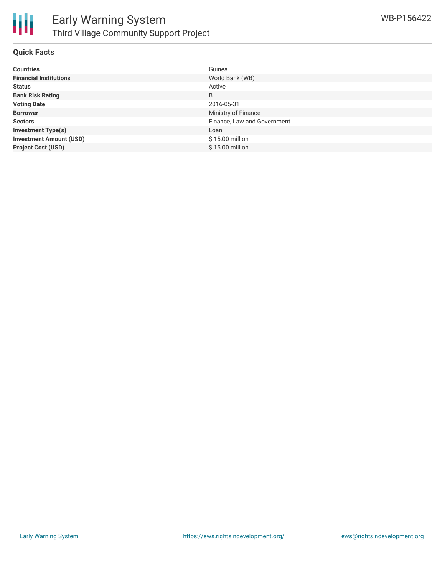

#### **Quick Facts**

| <b>Countries</b>               | Guinea                      |
|--------------------------------|-----------------------------|
| <b>Financial Institutions</b>  | World Bank (WB)             |
| <b>Status</b>                  | Active                      |
| <b>Bank Risk Rating</b>        | B                           |
| <b>Voting Date</b>             | 2016-05-31                  |
| <b>Borrower</b>                | Ministry of Finance         |
| <b>Sectors</b>                 | Finance, Law and Government |
| <b>Investment Type(s)</b>      | Loan                        |
| <b>Investment Amount (USD)</b> | $$15.00$ million            |
| <b>Project Cost (USD)</b>      | \$15.00 million             |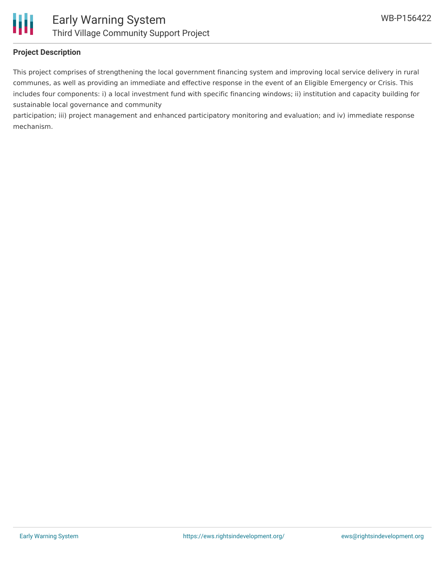



### **Project Description**

This project comprises of strengthening the local government financing system and improving local service delivery in rural communes, as well as providing an immediate and effective response in the event of an Eligible Emergency or Crisis. This includes four components: i) a local investment fund with specific financing windows; ii) institution and capacity building for sustainable local governance and community

participation; iii) project management and enhanced participatory monitoring and evaluation; and iv) immediate response mechanism.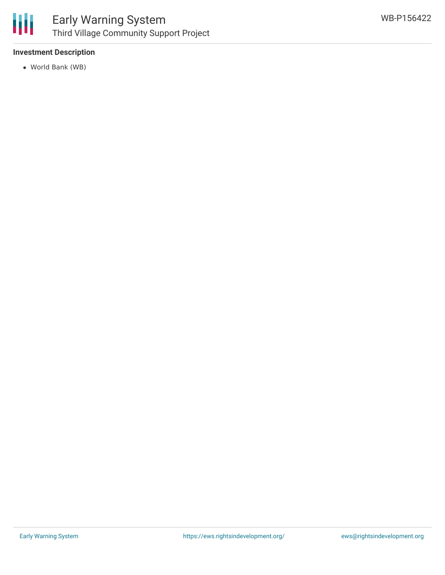

## Early Warning System Third Village Community Support Project

### **Investment Description**

World Bank (WB)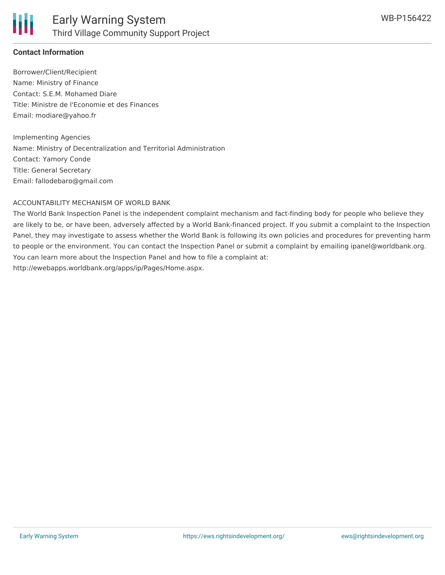

#### **Contact Information**

Borrower/Client/Recipient Name: Ministry of Finance Contact: S.E.M. Mohamed Diare Title: Ministre de l'Economie et des Finances Email: modiare@yahoo.fr

Implementing Agencies Name: Ministry of Decentralization and Territorial Administration Contact: Yamory Conde Title: General Secretary Email: fallodebaro@gmail.com

#### ACCOUNTABILITY MECHANISM OF WORLD BANK

The World Bank Inspection Panel is the independent complaint mechanism and fact-finding body for people who believe they are likely to be, or have been, adversely affected by a World Bank-financed project. If you submit a complaint to the Inspection Panel, they may investigate to assess whether the World Bank is following its own policies and procedures for preventing harm to people or the environment. You can contact the Inspection Panel or submit a complaint by emailing ipanel@worldbank.org. You can learn more about the Inspection Panel and how to file a complaint at: http://ewebapps.worldbank.org/apps/ip/Pages/Home.aspx.